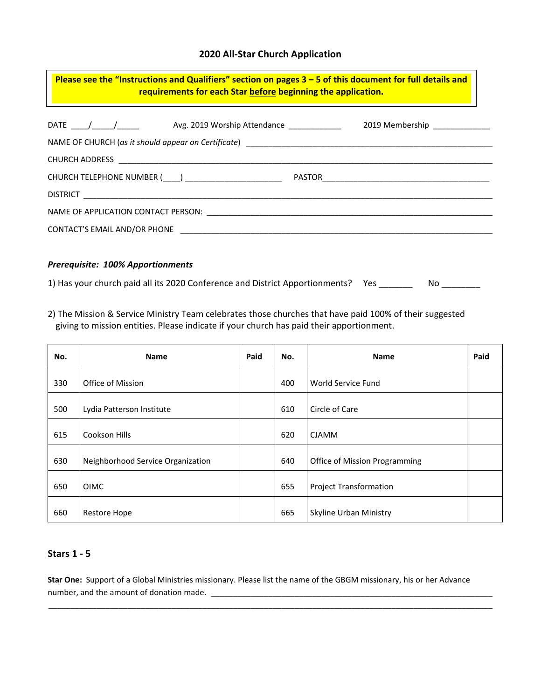# **2020 All-Star Church Application**

| Please see the "Instructions and Qualifiers" section on pages $3 - 5$ of this document for full details and<br>requirements for each Star before beginning the application.<br><u> 1980 - Andrea Station Andrea Station (m. 1980)</u> |  |  |  |  |  |  |  |
|---------------------------------------------------------------------------------------------------------------------------------------------------------------------------------------------------------------------------------------|--|--|--|--|--|--|--|
|                                                                                                                                                                                                                                       |  |  |  |  |  |  |  |
| CHURCH ADDRESS <b>And ALICE ACTIVITY CONTROL</b>                                                                                                                                                                                      |  |  |  |  |  |  |  |
| CHURCH TELEPHONE NUMBER (____) ________________________                                                                                                                                                                               |  |  |  |  |  |  |  |
|                                                                                                                                                                                                                                       |  |  |  |  |  |  |  |
|                                                                                                                                                                                                                                       |  |  |  |  |  |  |  |
|                                                                                                                                                                                                                                       |  |  |  |  |  |  |  |
|                                                                                                                                                                                                                                       |  |  |  |  |  |  |  |

#### *Prerequisite: 100% Apportionments*

1) Has your church paid all its 2020 Conference and District Apportionments? Yes \_\_\_\_\_\_\_ No \_\_\_\_\_\_\_

2) The Mission & Service Ministry Team celebrates those churches that have paid 100% of their suggested giving to mission entities. Please indicate if your church has paid their apportionment.

| No. | <b>Name</b>                       | Paid | No. | <b>Name</b>                   | Paid |
|-----|-----------------------------------|------|-----|-------------------------------|------|
| 330 | Office of Mission                 |      | 400 | World Service Fund            |      |
| 500 | Lydia Patterson Institute         |      | 610 | Circle of Care                |      |
| 615 | Cookson Hills                     |      | 620 | <b>CJAMM</b>                  |      |
| 630 | Neighborhood Service Organization |      | 640 | Office of Mission Programming |      |
| 650 | OIMC                              |      | 655 | <b>Project Transformation</b> |      |
| 660 | <b>Restore Hope</b>               |      | 665 | Skyline Urban Ministry        |      |

# **Stars 1 - 5**

**Star One:** Support of a Global Ministries missionary. Please list the name of the GBGM missionary, his or her Advance number, and the amount of donation made. \_\_\_\_\_\_\_\_\_\_\_\_\_\_\_\_\_\_\_\_\_\_\_\_\_\_\_\_\_\_\_\_\_\_\_\_\_\_\_\_\_\_\_\_\_\_\_\_\_\_\_\_\_\_\_\_\_\_\_\_\_\_\_\_

\_\_\_\_\_\_\_\_\_\_\_\_\_\_\_\_\_\_\_\_\_\_\_\_\_\_\_\_\_\_\_\_\_\_\_\_\_\_\_\_\_\_\_\_\_\_\_\_\_\_\_\_\_\_\_\_\_\_\_\_\_\_\_\_\_\_\_\_\_\_\_\_\_\_\_\_\_\_\_\_\_\_\_\_\_\_\_\_\_\_\_\_\_\_\_\_\_\_\_\_\_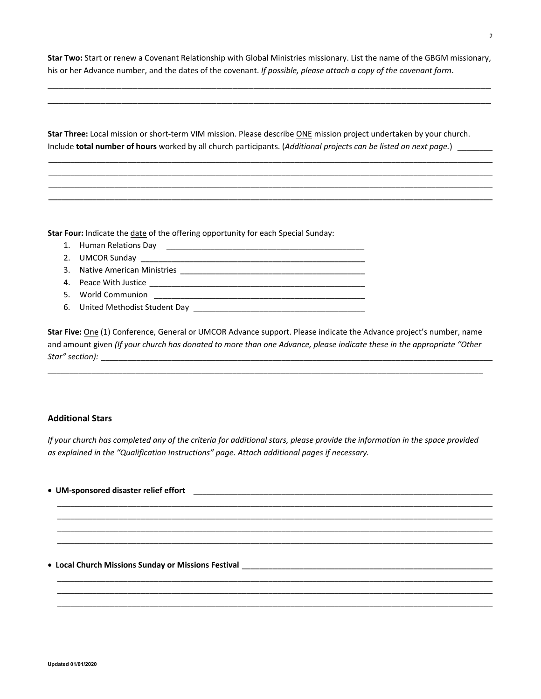**Star Two:** Start or renew a Covenant Relationship with Global Ministries missionary. List the name of the GBGM missionary, his or her Advance number, and the dates of the covenant. *If possible, please attach a copy of the covenant form*.

\_\_\_\_\_\_\_\_\_\_\_\_\_\_\_\_\_\_\_\_\_\_\_\_\_\_\_\_\_\_\_\_\_\_\_\_\_\_\_\_\_\_\_\_\_\_\_\_\_\_\_\_\_\_\_\_\_\_\_\_\_\_\_\_\_\_\_\_\_\_\_\_\_\_\_\_\_\_\_\_\_\_\_\_ \_\_\_\_\_\_\_\_\_\_\_\_\_\_\_\_\_\_\_\_\_\_\_\_\_\_\_\_\_\_\_\_\_\_\_\_\_\_\_\_\_\_\_\_\_\_\_\_\_\_\_\_\_\_\_\_\_\_\_\_\_\_\_\_\_\_\_\_\_\_\_\_\_\_\_\_\_\_\_\_\_\_\_\_

**Star Three:** Local mission or short-term VIM mission. Please describe ONE mission project undertaken by your church. Include **total number of hours** worked by all church participants. (*Additional projects can be listed on next page.*) \_\_\_\_\_\_\_\_

\_\_\_\_\_\_\_\_\_\_\_\_\_\_\_\_\_\_\_\_\_\_\_\_\_\_\_\_\_\_\_\_\_\_\_\_\_\_\_\_\_\_\_\_\_\_\_\_\_\_\_\_\_\_\_\_\_\_\_\_\_\_\_\_\_\_\_\_\_\_\_\_\_\_\_\_\_\_\_\_\_\_\_\_\_\_\_\_\_\_\_\_\_\_\_\_\_\_\_\_\_ \_\_\_\_\_\_\_\_\_\_\_\_\_\_\_\_\_\_\_\_\_\_\_\_\_\_\_\_\_\_\_\_\_\_\_\_\_\_\_\_\_\_\_\_\_\_\_\_\_\_\_\_\_\_\_\_\_\_\_\_\_\_\_\_\_\_\_\_\_\_\_\_\_\_\_\_\_\_\_\_\_\_\_\_\_\_\_\_\_\_\_\_\_\_\_\_\_\_\_\_\_ \_\_\_\_\_\_\_\_\_\_\_\_\_\_\_\_\_\_\_\_\_\_\_\_\_\_\_\_\_\_\_\_\_\_\_\_\_\_\_\_\_\_\_\_\_\_\_\_\_\_\_\_\_\_\_\_\_\_\_\_\_\_\_\_\_\_\_\_\_\_\_\_\_\_\_\_\_\_\_\_\_\_\_\_\_\_\_\_\_\_\_\_\_\_\_\_\_\_\_\_\_ \_\_\_\_\_\_\_\_\_\_\_\_\_\_\_\_\_\_\_\_\_\_\_\_\_\_\_\_\_\_\_\_\_\_\_\_\_\_\_\_\_\_\_\_\_\_\_\_\_\_\_\_\_\_\_\_\_\_\_\_\_\_\_\_\_\_\_\_\_\_\_\_\_\_\_\_\_\_\_\_\_\_\_\_\_\_\_\_\_\_\_\_\_\_\_\_\_\_\_\_\_

**Star Four:** Indicate the date of the offering opportunity for each Special Sunday:

- 1. Human Relations Day \_\_\_\_\_\_\_\_\_\_\_\_\_\_\_\_\_\_\_\_\_\_\_\_\_\_\_\_\_\_\_\_\_\_\_\_\_\_\_\_\_\_\_\_\_
- 2. UMCOR Sunday
- 3. Native American Ministries **Example 2018**
- 4. Peace With Justice \_\_\_\_\_\_\_\_\_\_\_\_\_\_\_\_\_\_\_\_\_\_\_\_\_\_\_\_\_\_\_\_\_\_\_\_\_\_\_\_\_\_\_\_\_\_\_\_\_
- 5. World Communion
- 6. United Methodist Student Day \_\_\_\_\_\_\_\_\_\_\_\_\_\_\_\_\_\_\_\_\_\_\_\_\_\_\_\_\_\_\_\_\_\_\_\_\_\_\_

**Star Five:** One (1) Conference, General or UMCOR Advance support. Please indicate the Advance project's number, name and amount given *(If your church has donated to more than one Advance, please indicate these in the appropriate "Other Star" section):* \_\_\_\_\_\_\_\_\_\_\_\_\_\_\_\_\_\_\_\_\_\_\_\_\_\_\_\_\_\_\_\_\_\_\_\_\_\_\_\_\_\_\_\_\_\_\_\_\_\_\_\_\_\_\_\_\_\_\_\_\_\_\_\_\_\_\_\_\_\_\_\_\_\_\_\_\_\_\_\_\_\_\_\_\_\_\_\_\_

\_\_\_\_\_\_\_\_\_\_\_\_\_\_\_\_\_\_\_\_\_\_\_\_\_\_\_\_\_\_\_\_\_\_\_\_\_\_\_\_\_\_\_\_\_\_\_\_\_\_\_\_\_\_\_\_\_\_\_\_\_\_\_\_\_\_\_\_\_\_\_\_\_\_\_\_\_\_\_\_\_\_\_\_\_\_\_\_\_\_\_\_\_\_\_\_\_\_\_

### **Additional Stars**

*If your church has completed any of the criteria for additional stars, please provide the information in the space provided as explained in the "Qualification Instructions" page. Attach additional pages if necessary.*

• UM-sponsored disaster relief effort **with a set of the set of the set of the set of the set of the set of the set of the set of the set of the set of the set of the set of the set of the set of the set of the set of the** \_\_\_\_\_\_\_\_\_\_\_\_\_\_\_\_\_\_\_\_\_\_\_\_\_\_\_\_\_\_\_\_\_\_\_\_\_\_\_\_\_\_\_\_\_\_\_\_\_\_\_\_\_\_\_\_\_\_\_\_\_\_\_\_\_\_\_\_\_\_\_\_\_\_\_\_\_\_\_\_\_\_\_\_\_\_\_\_\_\_\_\_\_\_\_\_\_\_\_ \_\_\_\_\_\_\_\_\_\_\_\_\_\_\_\_\_\_\_\_\_\_\_\_\_\_\_\_\_\_\_\_\_\_\_\_\_\_\_\_\_\_\_\_\_\_\_\_\_\_\_\_\_\_\_\_\_\_\_\_\_\_\_\_\_\_\_\_\_\_\_\_\_\_\_\_\_\_\_\_\_\_\_\_\_\_\_\_\_\_\_\_\_\_\_\_\_\_\_ \_\_\_\_\_\_\_\_\_\_\_\_\_\_\_\_\_\_\_\_\_\_\_\_\_\_\_\_\_\_\_\_\_\_\_\_\_\_\_\_\_\_\_\_\_\_\_\_\_\_\_\_\_\_\_\_\_\_\_\_\_\_\_\_\_\_\_\_\_\_\_\_\_\_\_\_\_\_\_\_\_\_\_\_\_\_\_\_\_\_\_\_\_\_\_\_\_\_\_ \_\_\_\_\_\_\_\_\_\_\_\_\_\_\_\_\_\_\_\_\_\_\_\_\_\_\_\_\_\_\_\_\_\_\_\_\_\_\_\_\_\_\_\_\_\_\_\_\_\_\_\_\_\_\_\_\_\_\_\_\_\_\_\_\_\_\_\_\_\_\_\_\_\_\_\_\_\_\_\_\_\_\_\_\_\_\_\_\_\_\_\_\_\_\_\_\_\_\_ • **Local Church Missions Sunday or Missions Festival** \_\_\_\_\_\_\_\_\_\_\_\_\_\_\_\_\_\_\_\_\_\_\_\_\_\_\_\_\_\_\_\_\_\_\_\_\_\_\_\_\_\_\_\_\_\_\_\_\_\_\_\_\_\_\_\_\_ \_\_\_\_\_\_\_\_\_\_\_\_\_\_\_\_\_\_\_\_\_\_\_\_\_\_\_\_\_\_\_\_\_\_\_\_\_\_\_\_\_\_\_\_\_\_\_\_\_\_\_\_\_\_\_\_\_\_\_\_\_\_\_\_\_\_\_\_\_\_\_\_\_\_\_\_\_\_\_\_\_\_\_\_\_\_\_\_\_\_\_\_\_\_\_\_\_\_\_

\_\_\_\_\_\_\_\_\_\_\_\_\_\_\_\_\_\_\_\_\_\_\_\_\_\_\_\_\_\_\_\_\_\_\_\_\_\_\_\_\_\_\_\_\_\_\_\_\_\_\_\_\_\_\_\_\_\_\_\_\_\_\_\_\_\_\_\_\_\_\_\_\_\_\_\_\_\_\_\_\_\_\_\_\_\_\_\_\_\_\_\_\_\_\_\_\_\_\_ \_\_\_\_\_\_\_\_\_\_\_\_\_\_\_\_\_\_\_\_\_\_\_\_\_\_\_\_\_\_\_\_\_\_\_\_\_\_\_\_\_\_\_\_\_\_\_\_\_\_\_\_\_\_\_\_\_\_\_\_\_\_\_\_\_\_\_\_\_\_\_\_\_\_\_\_\_\_\_\_\_\_\_\_\_\_\_\_\_\_\_\_\_\_\_\_\_\_\_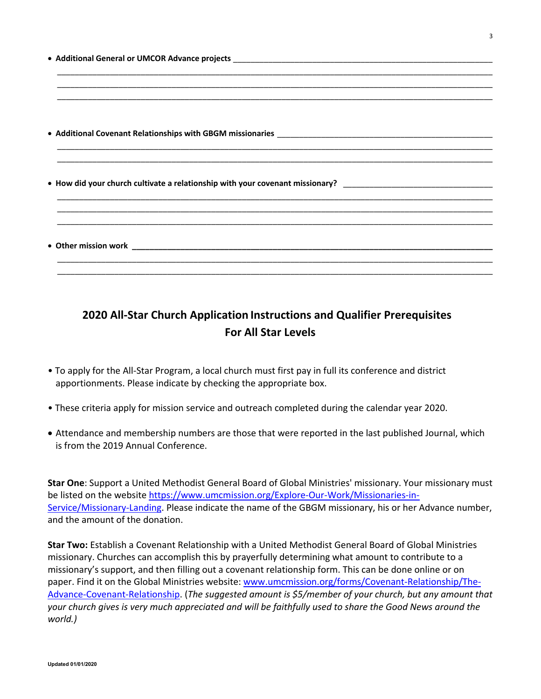|  |  | <u> 1990 - Johann Barn, mars eta bat erroman eta bat erroman erroman erroman ezkon erroman ez erroman ez ez ez e</u> |  |
|--|--|----------------------------------------------------------------------------------------------------------------------|--|

# **2020 All-Star Church Application Instructions and Qualifier Prerequisites For All Star Levels**

- To apply for the All-Star Program, a local church must first pay in full its conference and district apportionments. Please indicate by checking the appropriate box.
- These criteria apply for mission service and outreach completed during the calendar year 2020.
- Attendance and membership numbers are those that were reported in the last published Journal, which is from the 2019 Annual Conference.

**Star One**: Support a United Methodist General Board of Global Ministries' missionary. Your missionary must be listed on the websit[e https://www.umcmission.org/Explore-Our-Work/Missionaries-in-](https://www.umcmission.org/Explore-Our-Work/Missionaries-in-Service/Missionary-Landing)[Service/Missionary-Landing.](https://www.umcmission.org/Explore-Our-Work/Missionaries-in-Service/Missionary-Landing) Please indicate the name of the GBGM missionary, his or her Advance number, and the amount of the donation.

**Star Two:** Establish a Covenant Relationship with a United Methodist General Board of Global Ministries missionary. Churches can accomplish this by prayerfully determining what amount to contribute to a missionary's support, and then filling out a covenant relationship form. This can be done online or on paper. Find it on the Global Ministries website: www.umcmission.org/forms/Covenant-Relationship/The-Advance-Covenant-Relationship. (*The suggested amount is \$5/member of your church, but any amount that your church gives is very much appreciated and will be faithfully used to share the Good News around the world.)*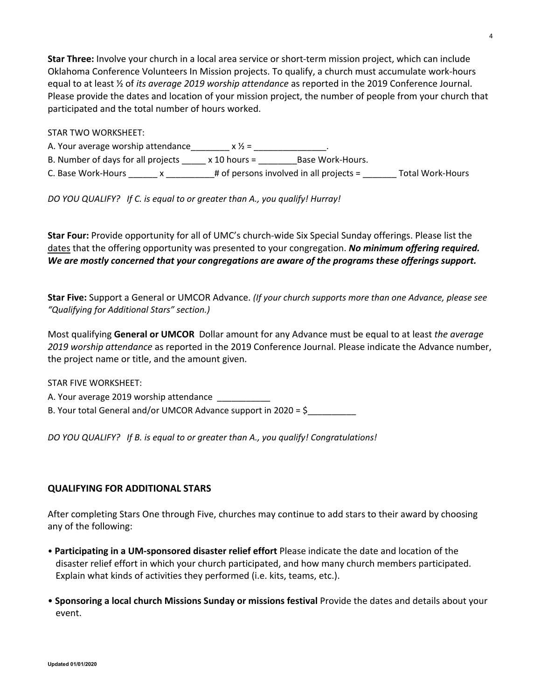**Star Three:** Involve your church in a local area service or short-term mission project, which can include Oklahoma Conference Volunteers In Mission projects. To qualify, a church must accumulate work-hours equal to at least ½ of *its average 2019 worship attendance* as reported in the 2019 Conference Journal. Please provide the dates and location of your mission project, the number of people from your church that participated and the total number of hours worked.

### STAR TWO WORKSHEET:

A. Your average worship attendance\_\_\_\_\_\_\_\_ x  $\frac{1}{2}$  = \_\_\_\_\_\_\_\_\_\_\_\_\_\_\_\_\_\_\_\_\_\_\_ B. Number of days for all projects \_\_\_\_\_ x 10 hours = \_\_\_\_\_\_\_\_Base Work-Hours. C. Base Work-Hours \_\_\_\_\_\_ x \_\_\_\_\_\_\_\_\_\_# of persons involved in all projects = \_\_\_\_\_\_\_ Total Work-Hours

*DO YOU QUALIFY? If C. is equal to or greater than A., you qualify! Hurray!*

**Star Four:** Provide opportunity for all of UMC's church-wide Six Special Sunday offerings. Please list the dates that the offering opportunity was presented to your congregation. *No minimum offering required. We are mostly concerned that your congregations are aware of the programs these offerings support.*

**Star Five:** Support a General or UMCOR Advance. *(If your church supports more than one Advance, please see "Qualifying for Additional Stars" section.)*

Most qualifying **General or UMCOR** Dollar amount for any Advance must be equal to at least *the average 2019 worship attendance* as reported in the 2019 Conference Journal. Please indicate the Advance number, the project name or title, and the amount given.

STAR FIVE WORKSHEET: A. Your average 2019 worship attendance B. Your total General and/or UMCOR Advance support in 2020 = \$

*DO YOU QUALIFY? If B. is equal to or greater than A., you qualify! Congratulations!*

# **QUALIFYING FOR ADDITIONAL STARS**

After completing Stars One through Five, churches may continue to add stars to their award by choosing any of the following:

- **Participating in a UM-sponsored disaster relief effort** Please indicate the date and location of the disaster relief effort in which your church participated, and how many church members participated. Explain what kinds of activities they performed (i.e. kits, teams, etc.).
- **Sponsoring a local church Missions Sunday or missions festival** Provide the dates and details about your event.